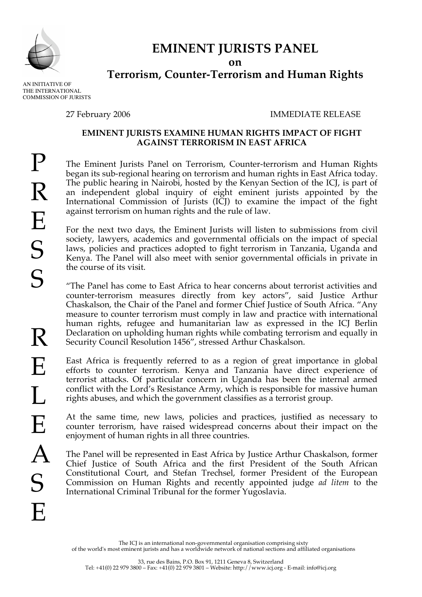

# **EMINENT JURISTS PANEL**

**on**

# **Terrorism, Counter-Terrorism and Human Rights**

AN INITIATIVE OF THE INTERNATIONAL COMMISSION OF JURISTS

## 27 February 2006 IMMEDIATE RELEASE

#### **EMINENT JURISTS EXAMINE HUMAN RIGHTS IMPACT OF FIGHT AGAINST TERRORISM IN EAST AFRICA**

The Eminent Jurists Panel on Terrorism, Counter-terrorism and Human Rights began its sub-regional hearing on terrorism and human rights in East Africa today. The public hearing in Nairobi, hosted by the Kenyan Section of the ICJ, is part of an independent global inquiry of eight eminent jurists appointed by the International Commission of Jurists (ICJ) to examine the impact of the fight against terrorism on human rights and the rule of law.

For the next two days, the Eminent Jurists will listen to submissions from civil society, lawyers, academics and governmental officials on the impact of special laws, policies and practices adopted to fight terrorism in Tanzania, Uganda and Kenya. The Panel will also meet with senior governmental officials in private in the course of its visit.

"The Panel has come to East Africa to hear concerns about terrorist activities and counter-terrorism measures directly from key actors", said Justice Arthur Chaskalson, the Chair of the Panel and former Chief Justice of South Africa. "Any measure to counter terrorism must comply in law and practice with international human rights, refugee and humanitarian law as expressed in the ICJ Berlin Declaration on upholding human rights while combating terrorism and equally in Security Council Resolution 1456", stressed Arthur Chaskalson.

East Africa is frequently referred to as a region of great importance in global efforts to counter terrorism. Kenya and Tanzania have direct experience of terrorist attacks. Of particular concern in Uganda has been the internal armed conflict with the Lord's Resistance Army, which is responsible for massive human rights abuses, and which the government classifies as a terrorist group.

At the same time, new laws, policies and practices, justified as necessary to counter terrorism, have raised widespread concerns about their impact on the enjoyment of human rights in all three countries.

The Panel will be represented in East Africa by Justice Arthur Chaskalson, former Chief Justice of South Africa and the first President of the South African Constitutional Court, and Stefan Trechsel, former President of the European Commission on Human Rights and recently appointed judge *ad litem* to the International Criminal Tribunal for the former Yugoslavia.